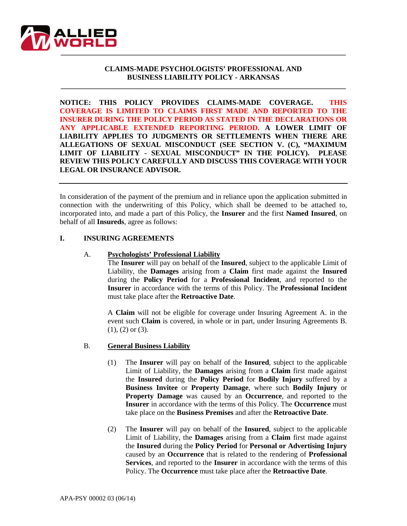

### **CLAIMS-MADE PSYCHOLOGISTS' PROFESSIONAL AND BUSINESS LIABILITY POLICY - ARKANSAS**

**\_\_\_\_\_\_\_\_\_\_\_\_\_\_\_\_\_\_\_\_\_\_\_\_\_\_\_\_\_\_\_\_\_\_\_\_\_\_\_\_\_\_\_\_\_\_\_\_\_\_\_\_\_\_\_\_\_\_\_\_\_\_\_\_\_\_\_\_\_\_\_\_\_\_\_\_\_\_**

**NOTICE: THIS POLICY PROVIDES CLAIMS-MADE COVERAGE. THIS COVERAGE IS LIMITED TO CLAIMS FIRST MADE AND REPORTED TO THE INSURER DURING THE POLICY PERIOD AS STATED IN THE DECLARATIONS OR ANY APPLICABLE EXTENDED REPORTING PERIOD. A LOWER LIMIT OF LIABILITY APPLIES TO JUDGMENTS OR SETTLEMENTS WHEN THERE ARE ALLEGATIONS OF SEXUAL MISCONDUCT (SEE SECTION V. (C), "MAXIMUM LIMIT OF LIABILITY - SEXUAL MISCONDUCT" IN THE POLICY). PLEASE REVIEW THIS POLICY CAREFULLY AND DISCUSS THIS COVERAGE WITH YOUR LEGAL OR INSURANCE ADVISOR.**

In consideration of the payment of the premium and in reliance upon the application submitted in connection with the underwriting of this Policy, which shall be deemed to be attached to, incorporated into, and made a part of this Policy, the **Insurer** and the first **Named Insured**, on behalf of all **Insureds**, agree as follows:

## **I. INSURING AGREEMENTS**

#### A. **Psychologists' Professional Liability**

The **Insurer** will pay on behalf of the **Insured**, subject to the applicable Limit of Liability, the **Damages** arising from a **Claim** first made against the **Insured** during the **Policy Period** for a **Professional Incident**, and reported to the **Insurer** in accordance with the terms of this Policy. The **Professional Incident** must take place after the **Retroactive Date**.

A **Claim** will not be eligible for coverage under Insuring Agreement A. in the event such **Claim** is covered, in whole or in part, under Insuring Agreements B. (1), (2) or (3).

#### B. **General Business Liability**

- (1) The **Insurer** will pay on behalf of the **Insured**, subject to the applicable Limit of Liability, the **Damages** arising from a **Claim** first made against the **Insured** during the **Policy Period** for **Bodily Injury** suffered by a **Business Invitee** or **Property Damage**, where such **Bodily Injury** or **Property Damage** was caused by an **Occurrence**, and reported to the **Insurer** in accordance with the terms of this Policy. The **Occurrence** must take place on the **Business Premises** and after the **Retroactive Date**.
- (2) The **Insurer** will pay on behalf of the **Insured**, subject to the applicable Limit of Liability, the **Damages** arising from a **Claim** first made against the **Insured** during the **Policy Period** for **Personal or Advertising Injury**  caused by an **Occurrence** that is related to the rendering of **Professional Services**, and reported to the **Insurer** in accordance with the terms of this Policy. The **Occurrence** must take place after the **Retroactive Date**.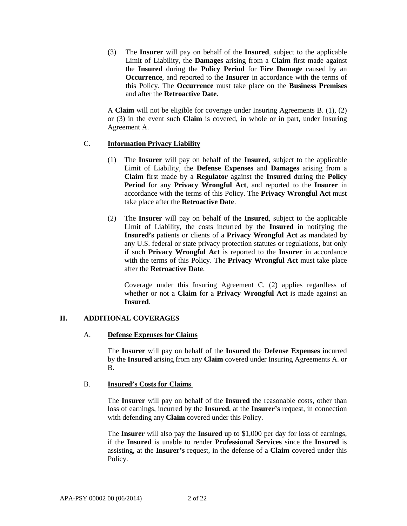(3) The **Insurer** will pay on behalf of the **Insured**, subject to the applicable Limit of Liability, the **Damages** arising from a **Claim** first made against the **Insured** during the **Policy Period** for **Fire Damage** caused by an **Occurrence**, and reported to the **Insurer** in accordance with the terms of this Policy. The **Occurrence** must take place on the **Business Premises** and after the **Retroactive Date**.

A **Claim** will not be eligible for coverage under Insuring Agreements B. (1), (2) or (3) in the event such **Claim** is covered, in whole or in part, under Insuring Agreement A.

### C. **Information Privacy Liability**

- (1) The **Insurer** will pay on behalf of the **Insured**, subject to the applicable Limit of Liability, the **Defense Expenses** and **Damages** arising from a **Claim** first made by a **Regulator** against the **Insured** during the **Policy Period** for any **Privacy Wrongful Act**, and reported to the **Insurer** in accordance with the terms of this Policy. The **Privacy Wrongful Act** must take place after the **Retroactive Date**.
- (2) The **Insurer** will pay on behalf of the **Insured**, subject to the applicable Limit of Liability, the costs incurred by the **Insured** in notifying the **Insured's** patients or clients of a **Privacy Wrongful Act** as mandated by any U.S. federal or state privacy protection statutes or regulations, but only if such **Privacy Wrongful Act** is reported to the **Insurer** in accordance with the terms of this Policy. The **Privacy Wrongful Act** must take place after the **Retroactive Date**.

Coverage under this Insuring Agreement C. (2) applies regardless of whether or not a **Claim** for a **Privacy Wrongful Act** is made against an **Insured**.

# **II. ADDITIONAL COVERAGES**

### A. **Defense Expenses for Claims**

The **Insurer** will pay on behalf of the **Insured** the **Defense Expenses** incurred by the **Insured** arising from any **Claim** covered under Insuring Agreements A. or B.

### B. **Insured's Costs for Claims**

The **Insurer** will pay on behalf of the **Insured** the reasonable costs, other than loss of earnings, incurred by the **Insured**, at the **Insurer's** request, in connection with defending any **Claim** covered under this Policy.

The **Insurer** will also pay the **Insured** up to \$1,000 per day for loss of earnings, if the **Insured** is unable to render **Professional Services** since the **Insured** is assisting, at the **Insurer's** request, in the defense of a **Claim** covered under this Policy.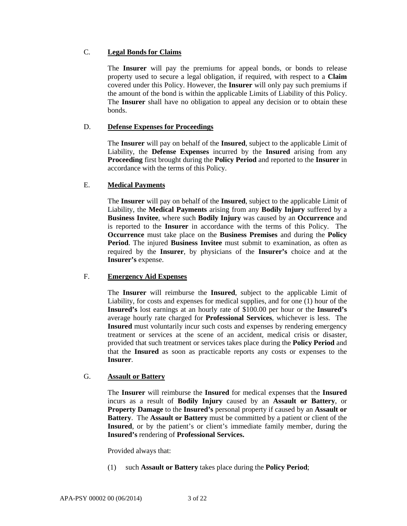## C. **Legal Bonds for Claims**

The **Insurer** will pay the premiums for appeal bonds, or bonds to release property used to secure a legal obligation, if required, with respect to a **Claim** covered under this Policy. However, the **Insurer** will only pay such premiums if the amount of the bond is within the applicable Limits of Liability of this Policy. The **Insurer** shall have no obligation to appeal any decision or to obtain these bonds.

# D. **Defense Expenses for Proceedings**

The **Insurer** will pay on behalf of the **Insured**, subject to the applicable Limit of Liability, the **Defense Expenses** incurred by the **Insured** arising from any **Proceeding** first brought during the **Policy Period** and reported to the **Insurer** in accordance with the terms of this Policy.

# E. **Medical Payments**

The **Insurer** will pay on behalf of the **Insured**, subject to the applicable Limit of Liability, the **Medical Payments** arising from any **Bodily Injury** suffered by a **Business Invitee**, where such **Bodily Injury** was caused by an **Occurrence** and is reported to the **Insurer** in accordance with the terms of this Policy. The **Occurrence** must take place on the **Business Premises** and during the **Policy Period**. The injured **Business Invitee** must submit to examination, as often as required by the **Insurer**, by physicians of the **Insurer's** choice and at the **Insurer's** expense.

# F. **Emergency Aid Expenses**

The **Insurer** will reimburse the **Insured**, subject to the applicable Limit of Liability, for costs and expenses for medical supplies, and for one (1) hour of the **Insured's** lost earnings at an hourly rate of \$100.00 per hour or the **Insured's**  average hourly rate charged for **Professional Services**, whichever is less. The **Insured** must voluntarily incur such costs and expenses by rendering emergency treatment or services at the scene of an accident, medical crisis or disaster, provided that such treatment or services takes place during the **Policy Period** and that the **Insured** as soon as practicable reports any costs or expenses to the **Insurer**.

# G. **Assault or Battery**

The **Insurer** will reimburse the **Insured** for medical expenses that the **Insured** incurs as a result of **Bodily Injury** caused by an **Assault or Battery**, or **Property Damage** to the **Insured's** personal property if caused by an **Assault or Battery**. The **Assault or Battery** must be committed by a patient or client of the **Insured**, or by the patient's or client's immediate family member, during the **Insured's** rendering of **Professional Services.**

Provided always that:

(1) such **Assault or Battery** takes place during the **Policy Period**;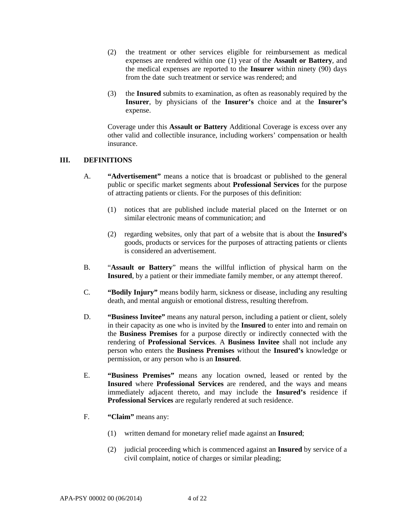- (2) the treatment or other services eligible for reimbursement as medical expenses are rendered within one (1) year of the **Assault or Battery**, and the medical expenses are reported to the **Insurer** within ninety (90) days from the date such treatment or service was rendered; and
- (3) the **Insured** submits to examination, as often as reasonably required by the **Insurer**, by physicians of the **Insurer's** choice and at the **Insurer's** expense.

Coverage under this **Assault or Battery** Additional Coverage is excess over any other valid and collectible insurance, including workers' compensation or health insurance.

### **III. DEFINITIONS**

- A. **"Advertisement"** means a notice that is broadcast or published to the general public or specific market segments about **Professional Services** for the purpose of attracting patients or clients. For the purposes of this definition:
	- (1) notices that are published include material placed on the Internet or on similar electronic means of communication; and
	- (2) regarding websites, only that part of a website that is about the **Insured's** goods, products or services for the purposes of attracting patients or clients is considered an advertisement.
- B. "**Assault or Battery**" means the willful infliction of physical harm on the **Insured**, by a patient or their immediate family member, or any attempt thereof.
- C. **"Bodily Injury"** means bodily harm, sickness or disease, including any resulting death, and mental anguish or emotional distress, resulting therefrom.
- D. **"Business Invitee"** means any natural person, including a patient or client, solely in their capacity as one who is invited by the **Insured** to enter into and remain on the **Business Premises** for a purpose directly or indirectly connected with the rendering of **Professional Services**. A **Business Invitee** shall not include any person who enters the **Business Premises** without the **Insured's** knowledge or permission, or any person who is an **Insured**.
- E. **"Business Premises"** means any location owned, leased or rented by the **Insured** where **Professional Services** are rendered, and the ways and means immediately adjacent thereto, and may include the **Insured's** residence if **Professional Services** are regularly rendered at such residence.
- F. **"Claim"** means any:
	- (1) written demand for monetary relief made against an **Insured**;
	- (2) judicial proceeding which is commenced against an **Insured** by service of a civil complaint, notice of charges or similar pleading;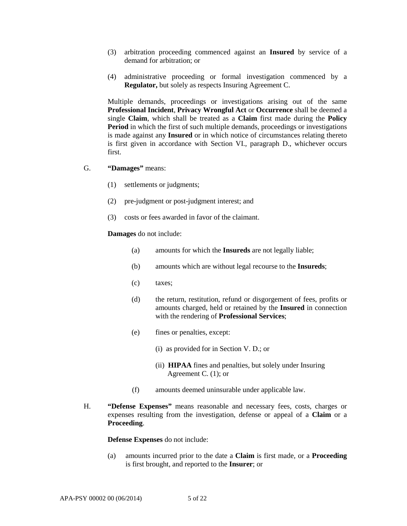- (3) arbitration proceeding commenced against an **Insured** by service of a demand for arbitration; or
- (4) administrative proceeding or formal investigation commenced by a **Regulator,** but solely as respects Insuring Agreement C.

Multiple demands, proceedings or investigations arising out of the same **Professional Incident**, **Privacy Wrongful Act** or **Occurrence** shall be deemed a single **Claim**, which shall be treated as a **Claim** first made during the **Policy Period** in which the first of such multiple demands, proceedings or investigations is made against any **Insured** or in which notice of circumstances relating thereto is first given in accordance with Section VI., paragraph D., whichever occurs first.

- G. **"Damages"** means:
	- (1) settlements or judgments;
	- (2) pre-judgment or post-judgment interest; and
	- (3) costs or fees awarded in favor of the claimant.

#### **Damages** do not include:

- (a) amounts for which the **Insureds** are not legally liable;
- (b) amounts which are without legal recourse to the **Insureds**;
- (c) taxes;
- (d) the return, restitution, refund or disgorgement of fees, profits or amounts charged, held or retained by the **Insured** in connection with the rendering of **Professional Services**;
- (e) fines or penalties, except:
	- (i) as provided for in Section V. D.; or
	- (ii) **HIPAA** fines and penalties, but solely under Insuring Agreement C. (1); or
- (f) amounts deemed uninsurable under applicable law.
- H. **"Defense Expenses"** means reasonable and necessary fees, costs, charges or expenses resulting from the investigation, defense or appeal of a **Claim** or a **Proceeding**.

**Defense Expenses** do not include:

(a) amounts incurred prior to the date a **Claim** is first made, or a **Proceeding** is first brought, and reported to the **Insurer**; or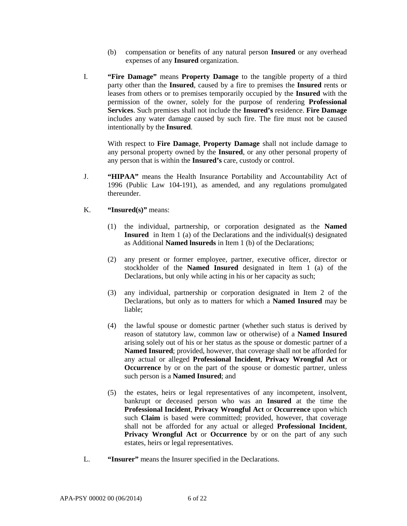- (b) compensation or benefits of any natural person **Insured** or any overhead expenses of any **Insured** organization.
- I. **"Fire Damage"** means **Property Damage** to the tangible property of a third party other than the **Insured**, caused by a fire to premises the **Insured** rents or leases from others or to premises temporarily occupied by the **Insured** with the permission of the owner, solely for the purpose of rendering **Professional Services**. Such premises shall not include the **Insured's** residence. **Fire Damage** includes any water damage caused by such fire. The fire must not be caused intentionally by the **Insured**.

With respect to **Fire Damage**, **Property Damage** shall not include damage to any personal property owned by the **Insured**, or any other personal property of any person that is within the **Insured's** care, custody or control.

- J. **"HIPAA"** means the Health Insurance Portability and Accountability Act of 1996 (Public Law 104-191), as amended, and any regulations promulgated thereunder.
- K. **"Insured(s)"** means:
	- (1) the individual, partnership, or corporation designated as the **Named Insured** in Item 1 (a) of the Declarations and the individual(s) designated as Additional **Named lnsureds** in Item 1 (b) of the Declarations;
	- (2) any present or former employee, partner, executive officer, director or stockholder of the **Named Insured** designated in Item 1 (a) of the Declarations, but only while acting in his or her capacity as such;
	- (3) any individual, partnership or corporation designated in Item 2 of the Declarations, but only as to matters for which a **Named Insured** may be liable;
	- (4) the lawful spouse or domestic partner (whether such status is derived by reason of statutory law, common law or otherwise) of a **Named Insured**  arising solely out of his or her status as the spouse or domestic partner of a **Named Insured**; provided, however, that coverage shall not be afforded for any actual or alleged **Professional Incident**, **Privacy Wrongful Act** or **Occurrence** by or on the part of the spouse or domestic partner, unless such person is a **Named Insured**; and
	- (5) the estates, heirs or legal representatives of any incompetent, insolvent, bankrupt or deceased person who was an **Insured** at the time the **Professional Incident**, **Privacy Wrongful Act** or **Occurrence** upon which such **Claim** is based were committed; provided, however, that coverage shall not be afforded for any actual or alleged **Professional Incident**, **Privacy Wrongful Act** or **Occurrence** by or on the part of any such estates, heirs or legal representatives.
- L. **"Insurer"** means the Insurer specified in the Declarations.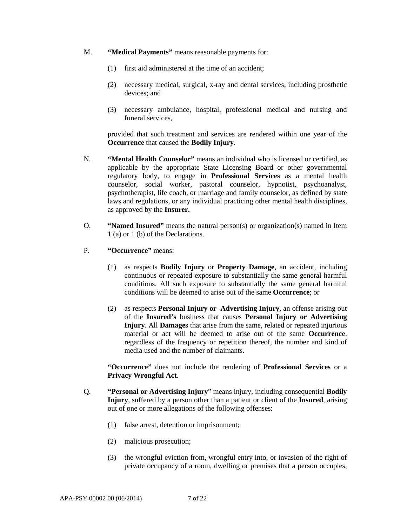- M. **"Medical Payments"** means reasonable payments for:
	- (1) first aid administered at the time of an accident;
	- (2) necessary medical, surgical, x-ray and dental services, including prosthetic devices; and
	- (3) necessary ambulance, hospital, professional medical and nursing and funeral services,

provided that such treatment and services are rendered within one year of the **Occurrence** that caused the **Bodily Injury**.

- N. **"Mental Health Counselor"** means an individual who is licensed or certified, as applicable by the appropriate State Licensing Board or other governmental regulatory body, to engage in **Professional Services** as a mental health counselor, social worker, pastoral counselor, hypnotist, psychoanalyst, psychotherapist, life coach, or marriage and family counselor, as defined by state laws and regulations, or any individual practicing other mental health disciplines, as approved by the **Insurer.**
- O. **"Named Insured"** means the natural person(s) or organization(s) named in Item 1 (a) or 1 (b) of the Declarations.
- P. **"Occurrence"** means:
	- (1) as respects **Bodily Injury** or **Property Damage**, an accident, including continuous or repeated exposure to substantially the same general harmful conditions. All such exposure to substantially the same general harmful conditions will be deemed to arise out of the same **Occurrence**; or
	- (2) as respects **Personal Injury or Advertising Injury**, an offense arising out of the **Insured's** business that causes **Personal Injury or Advertising Injury**. All **Damages** that arise from the same, related or repeated injurious material or act will be deemed to arise out of the same **Occurrence**, regardless of the frequency or repetition thereof, the number and kind of media used and the number of claimants.

**"Occurrence"** does not include the rendering of **Professional Services** or a **Privacy Wrongful Act**.

- Q. **"Personal or Advertising Injury**" means injury, including consequential **Bodily Injury**, suffered by a person other than a patient or client of the **Insured**, arising out of one or more allegations of the following offenses:
	- (1) false arrest, detention or imprisonment;
	- (2) malicious prosecution;
	- (3) the wrongful eviction from, wrongful entry into, or invasion of the right of private occupancy of a room, dwelling or premises that a person occupies,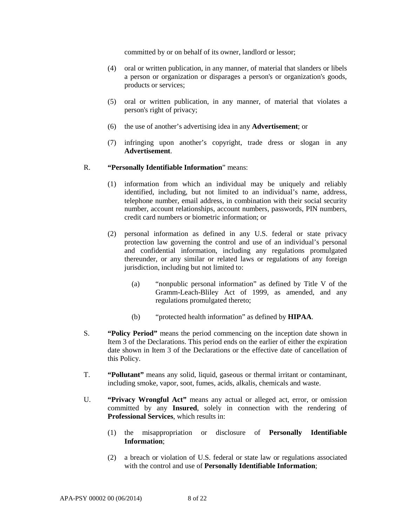committed by or on behalf of its owner, landlord or lessor;

- (4) oral or written publication, in any manner, of material that slanders or libels a person or organization or disparages a person's or organization's goods, products or services;
- (5) oral or written publication, in any manner, of material that violates a person's right of privacy;
- (6) the use of another's advertising idea in any **Advertisement**; or
- (7) infringing upon another's copyright, trade dress or slogan in any **Advertisement**.

#### R. **"Personally Identifiable Information**" means:

- (1) information from which an individual may be uniquely and reliably identified, including, but not limited to an individual's name, address, telephone number, email address, in combination with their social security number, account relationships, account numbers, passwords, PIN numbers, credit card numbers or biometric information; or
- (2) personal information as defined in any U.S. federal or state privacy protection law governing the control and use of an individual's personal and confidential information, including any regulations promulgated thereunder, or any similar or related laws or regulations of any foreign jurisdiction, including but not limited to:
	- (a) "nonpublic personal information" as defined by Title V of the Gramm-Leach-Bliley Act of 1999, as amended, and any regulations promulgated thereto;
	- (b) "protected health information" as defined by **HIPAA**.
- S. **"Policy Period"** means the period commencing on the inception date shown in Item 3 of the Declarations. This period ends on the earlier of either the expiration date shown in Item 3 of the Declarations or the effective date of cancellation of this Policy.
- T. **"Pollutant"** means any solid, liquid, gaseous or thermal irritant or contaminant, including smoke, vapor, soot, fumes, acids, alkalis, chemicals and waste.
- U. **"Privacy Wrongful Act"** means any actual or alleged act, error, or omission committed by any **Insured**, solely in connection with the rendering of **Professional Services**, which results in:
	- (1) the misappropriation or disclosure of **Personally Identifiable Information**;
	- (2) a breach or violation of U.S. federal or state law or regulations associated with the control and use of **Personally Identifiable Information**;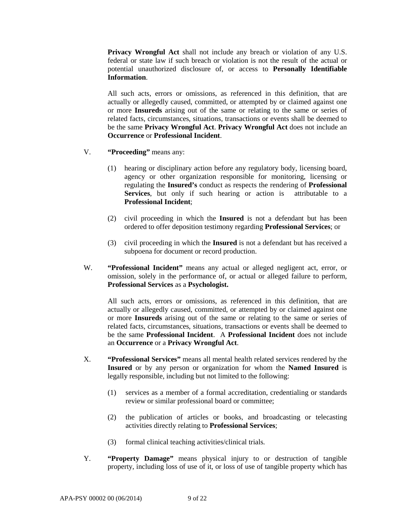**Privacy Wrongful Act** shall not include any breach or violation of any U.S. federal or state law if such breach or violation is not the result of the actual or potential unauthorized disclosure of, or access to **Personally Identifiable Information**.

All such acts, errors or omissions, as referenced in this definition, that are actually or allegedly caused, committed, or attempted by or claimed against one or more **Insureds** arising out of the same or relating to the same or series of related facts, circumstances, situations, transactions or events shall be deemed to be the same **Privacy Wrongful Act**. **Privacy Wrongful Act** does not include an **Occurrence** or **Professional Incident**.

- V. **"Proceeding"** means any:
	- (1) hearing or disciplinary action before any regulatory body, licensing board, agency or other organization responsible for monitoring, licensing or regulating the **Insured's** conduct as respects the rendering of **Professional Services**, but only if such hearing or action is attributable to a **Professional Incident**;
	- (2) civil proceeding in which the **Insured** is not a defendant but has been ordered to offer deposition testimony regarding **Professional Services**; or
	- (3) civil proceeding in which the **Insured** is not a defendant but has received a subpoena for document or record production.
- W. **"Professional Incident"** means any actual or alleged negligent act, error, or omission, solely in the performance of, or actual or alleged failure to perform, **Professional Services** as a **Psychologist.**

All such acts, errors or omissions, as referenced in this definition, that are actually or allegedly caused, committed, or attempted by or claimed against one or more **Insureds** arising out of the same or relating to the same or series of related facts, circumstances, situations, transactions or events shall be deemed to be the same **Professional Incident**. A **Professional Incident** does not include an **Occurrence** or a **Privacy Wrongful Act**.

- X. **"Professional Services"** means all mental health related services rendered by the **Insured** or by any person or organization for whom the **Named Insured** is legally responsible, including but not limited to the following:
	- (1) services as a member of a formal accreditation, credentialing or standards review or similar professional board or committee;
	- (2) the publication of articles or books, and broadcasting or telecasting activities directly relating to **Professional Services**;
	- (3) formal clinical teaching activities/clinical trials.
- Y. **"Property Damage"** means physical injury to or destruction of tangible property, including loss of use of it, or loss of use of tangible property which has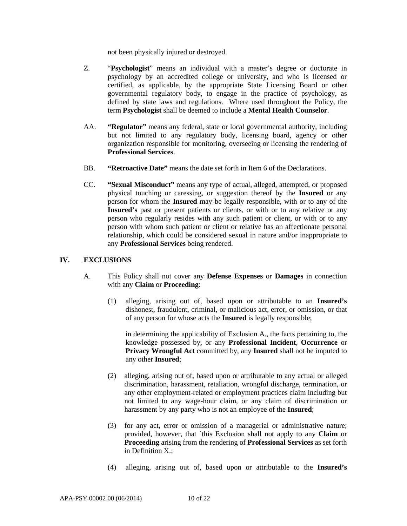not been physically injured or destroyed.

- Z. "**Psychologist**" means an individual with a master's degree or doctorate in psychology by an accredited college or university, and who is licensed or certified, as applicable, by the appropriate State Licensing Board or other governmental regulatory body, to engage in the practice of psychology, as defined by state laws and regulations. Where used throughout the Policy, the term **Psychologist** shall be deemed to include a **Mental Health Counselor**.
- AA. **"Regulator"** means any federal, state or local governmental authority, including but not limited to any regulatory body, licensing board, agency or other organization responsible for monitoring, overseeing or licensing the rendering of **Professional Services**.
- BB. **"Retroactive Date"** means the date set forth in Item 6 of the Declarations.
- CC. **"Sexual Misconduct"** means any type of actual, alleged, attempted, or proposed physical touching or caressing, or suggestion thereof by the **Insured** or any person for whom the **Insured** may be legally responsible, with or to any of the **Insured's** past or present patients or clients, or with or to any relative or any person who regularly resides with any such patient or client, or with or to any person with whom such patient or client or relative has an affectionate personal relationship, which could be considered sexual in nature and/or inappropriate to any **Professional Services** being rendered.

### **IV. EXCLUSIONS**

- A. This Policy shall not cover any **Defense Expenses** or **Damages** in connection with any **Claim** or **Proceeding**:
	- (1) alleging, arising out of, based upon or attributable to an **Insured's** dishonest, fraudulent, criminal, or malicious act, error, or omission, or that of any person for whose acts the **Insured** is legally responsible;

in determining the applicability of Exclusion A., the facts pertaining to, the knowledge possessed by, or any **Professional Incident**, **Occurrence** or **Privacy Wrongful Act** committed by, any **Insured** shall not be imputed to any other **Insured**;

- (2) alleging, arising out of, based upon or attributable to any actual or alleged discrimination, harassment, retaliation, wrongful discharge, termination, or any other employment-related or employment practices claim including but not limited to any wage-hour claim, or any claim of discrimination or harassment by any party who is not an employee of the **Insured**;
- (3) for any act, error or omission of a managerial or administrative nature; provided, however, that `this Exclusion shall not apply to any **Claim** or **Proceeding** arising from the rendering of **Professional Services** as set forth in Definition X.;
- (4) alleging, arising out of, based upon or attributable to the **Insured's**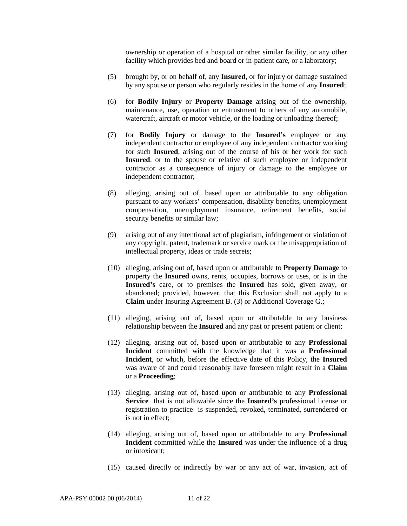ownership or operation of a hospital or other similar facility, or any other facility which provides bed and board or in-patient care, or a laboratory;

- (5) brought by, or on behalf of, any **Insured**, or for injury or damage sustained by any spouse or person who regularly resides in the home of any **Insured**;
- (6) for **Bodily Injury** or **Property Damage** arising out of the ownership, maintenance, use, operation or entrustment to others of any automobile, watercraft, aircraft or motor vehicle, or the loading or unloading thereof;
- (7) for **Bodily Injury** or damage to the **Insured's** employee or any independent contractor or employee of any independent contractor working for such **Insured**, arising out of the course of his or her work for such **Insured**, or to the spouse or relative of such employee or independent contractor as a consequence of injury or damage to the employee or independent contractor;
- (8) alleging, arising out of, based upon or attributable to any obligation pursuant to any workers' compensation, disability benefits, unemployment compensation, unemployment insurance, retirement benefits, social security benefits or similar law;
- (9) arising out of any intentional act of plagiarism, infringement or violation of any copyright, patent, trademark or service mark or the misappropriation of intellectual property, ideas or trade secrets;
- (10) alleging, arising out of, based upon or attributable to **Property Damage** to property the **Insured** owns, rents, occupies, borrows or uses, or is in the **Insured's** care, or to premises the **Insured** has sold, given away, or abandoned; provided, however, that this Exclusion shall not apply to a **Claim** under Insuring Agreement B. (3) or Additional Coverage G.;
- (11) alleging, arising out of, based upon or attributable to any business relationship between the **Insured** and any past or present patient or client;
- (12) alleging, arising out of, based upon or attributable to any **Professional Incident** committed with the knowledge that it was a **Professional Incident**, or which, before the effective date of this Policy, the **Insured** was aware of and could reasonably have foreseen might result in a **Claim**  or a **Proceeding**;
- (13) alleging, arising out of, based upon or attributable to any **Professional Service** that is not allowable since the **Insured's** professional license or registration to practice is suspended, revoked, terminated, surrendered or is not in effect;
- (14) alleging, arising out of, based upon or attributable to any **Professional Incident** committed while the **Insured** was under the influence of a drug or intoxicant;
- (15) caused directly or indirectly by war or any act of war, invasion, act of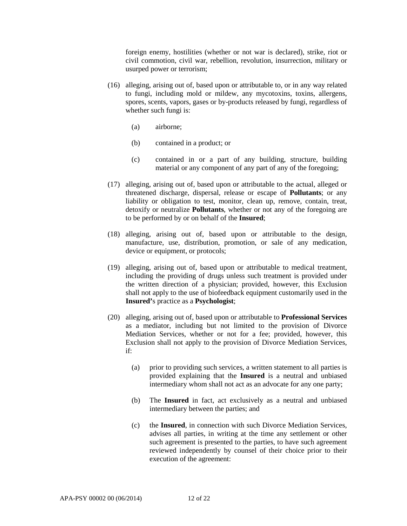foreign enemy, hostilities (whether or not war is declared), strike, riot or civil commotion, civil war, rebellion, revolution, insurrection, military or usurped power or terrorism;

- (16) alleging, arising out of, based upon or attributable to, or in any way related to fungi, including mold or mildew, any mycotoxins, toxins, allergens, spores, scents, vapors, gases or by-products released by fungi, regardless of whether such fungi is:
	- (a) airborne;
	- (b) contained in a product; or
	- (c) contained in or a part of any building, structure, building material or any component of any part of any of the foregoing;
- (17) alleging, arising out of, based upon or attributable to the actual, alleged or threatened discharge, dispersal, release or escape of **Pollutants**; or any liability or obligation to test, monitor, clean up, remove, contain, treat, detoxify or neutralize **Pollutants**, whether or not any of the foregoing are to be performed by or on behalf of the **Insured**;
- (18) alleging, arising out of, based upon or attributable to the design, manufacture, use, distribution, promotion, or sale of any medication, device or equipment, or protocols;
- (19) alleging, arising out of, based upon or attributable to medical treatment, including the providing of drugs unless such treatment is provided under the written direction of a physician; provided, however, this Exclusion shall not apply to the use of biofeedback equipment customarily used in the **Insured'**s practice as a **Psychologist**;
- (20) alleging, arising out of, based upon or attributable to **Professional Services** as a mediator, including but not limited to the provision of Divorce Mediation Services, whether or not for a fee; provided, however, this Exclusion shall not apply to the provision of Divorce Mediation Services, if:
	- (a) prior to providing such services, a written statement to all parties is provided explaining that the **Insured** is a neutral and unbiased intermediary whom shall not act as an advocate for any one party;
	- (b) The **Insured** in fact, act exclusively as a neutral and unbiased intermediary between the parties; and
	- (c) the **Insured**, in connection with such Divorce Mediation Services, advises all parties, in writing at the time any settlement or other such agreement is presented to the parties, to have such agreement reviewed independently by counsel of their choice prior to their execution of the agreement: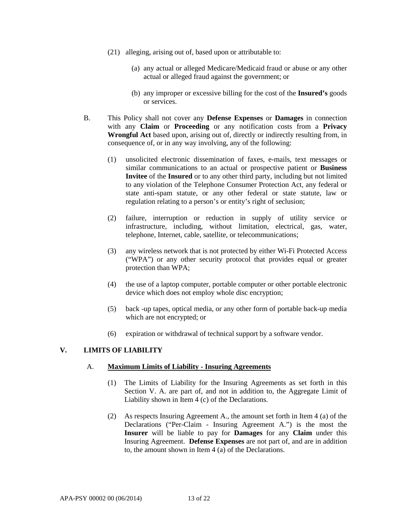- (21) alleging, arising out of, based upon or attributable to:
	- (a) any actual or alleged Medicare/Medicaid fraud or abuse or any other actual or alleged fraud against the government; or
	- (b) any improper or excessive billing for the cost of the **Insured's** goods or services.
- B. This Policy shall not cover any **Defense Expenses** or **Damages** in connection with any **Claim** or **Proceeding** or any notification costs from a **Privacy Wrongful Act** based upon, arising out of, directly or indirectly resulting from, in consequence of, or in any way involving, any of the following:
	- (1) unsolicited electronic dissemination of faxes, e-mails, text messages or similar communications to an actual or prospective patient or **Business Invitee** of the **Insured** or to any other third party, including but not limited to any violation of the Telephone Consumer Protection Act, any federal or state anti-spam statute, or any other federal or state statute, law or regulation relating to a person's or entity's right of seclusion;
	- (2) failure, interruption or reduction in supply of utility service or infrastructure, including, without limitation, electrical, gas, water, telephone, Internet, cable, satellite, or telecommunications;
	- (3) any wireless network that is not protected by either Wi-Fi Protected Access ("WPA") or any other security protocol that provides equal or greater protection than WPA;
	- (4) the use of a laptop computer, portable computer or other portable electronic device which does not employ whole disc encryption;
	- (5) back -up tapes, optical media, or any other form of portable back-up media which are not encrypted; or
	- (6) expiration or withdrawal of technical support by a software vendor.

## **V. LIMITS OF LIABILITY**

#### A. **Maximum Limits of Liability - Insuring Agreements**

- (1) The Limits of Liability for the Insuring Agreements as set forth in this Section V. A. are part of, and not in addition to, the Aggregate Limit of Liability shown in Item 4 (c) of the Declarations.
- (2) As respects Insuring Agreement A., the amount set forth in Item 4 (a) of the Declarations ("Per-Claim - Insuring Agreement A.") is the most the **Insurer** will be liable to pay for **Damages** for any **Claim** under this Insuring Agreement. **Defense Expenses** are not part of, and are in addition to, the amount shown in Item 4 (a) of the Declarations.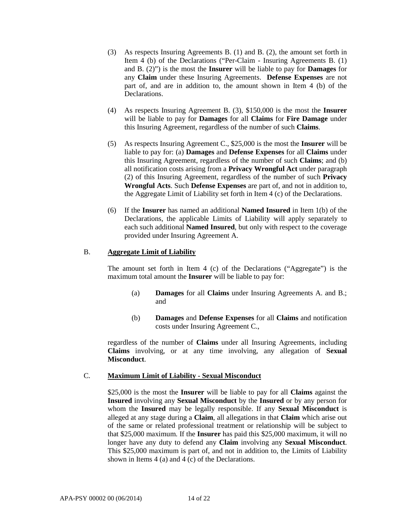- (3) As respects Insuring Agreements B. (1) and B. (2), the amount set forth in Item 4 (b) of the Declarations ("Per-Claim - Insuring Agreements B. (1) and B. (2)") is the most the **Insurer** will be liable to pay for **Damages** for any **Claim** under these Insuring Agreements. **Defense Expenses** are not part of, and are in addition to, the amount shown in Item 4 (b) of the Declarations.
- (4) As respects Insuring Agreement B. (3), \$150,000 is the most the **Insurer**  will be liable to pay for **Damages** for all **Claims** for **Fire Damage** under this Insuring Agreement, regardless of the number of such **Claims**.
- (5) As respects Insuring Agreement C., \$25,000 is the most the **Insurer** will be liable to pay for: (a) **Damages** and **Defense Expenses** for all **Claims** under this Insuring Agreement, regardless of the number of such **Claims**; and (b) all notification costs arising from a **Privacy Wrongful Act** under paragraph (2) of this Insuring Agreement, regardless of the number of such **Privacy Wrongful Acts**. Such **Defense Expenses** are part of, and not in addition to, the Aggregate Limit of Liability set forth in Item 4 (c) of the Declarations.
- (6) If the **Insurer** has named an additional **Named Insured** in Item 1(b) of the Declarations, the applicable Limits of Liability will apply separately to each such additional **Named Insured**, but only with respect to the coverage provided under Insuring Agreement A.

### B. **Aggregate Limit of Liability**

The amount set forth in Item 4 (c) of the Declarations ("Aggregate") is the maximum total amount the **Insurer** will be liable to pay for:

- (a) **Damages** for all **Claims** under Insuring Agreements A. and B.; and
- (b) **Damages** and **Defense Expenses** for all **Claims** and notification costs under Insuring Agreement C.,

regardless of the number of **Claims** under all Insuring Agreements, including **Claims** involving, or at any time involving, any allegation of **Sexual Misconduct**.

### C. **Maximum Limit of Liability - Sexual Misconduct**

\$25,000 is the most the **Insurer** will be liable to pay for all **Claims** against the **Insured** involving any **Sexual Misconduct** by the **Insured** or by any person for whom the **Insured** may be legally responsible. If any **Sexual Misconduct** is alleged at any stage during a **Claim**, all allegations in that **Claim** which arise out of the same or related professional treatment or relationship will be subject to that \$25,000 maximum. If the **Insurer** has paid this \$25,000 maximum, it will no longer have any duty to defend any **Claim** involving any **Sexual Misconduct**. This \$25,000 maximum is part of, and not in addition to, the Limits of Liability shown in Items 4 (a) and 4 (c) of the Declarations.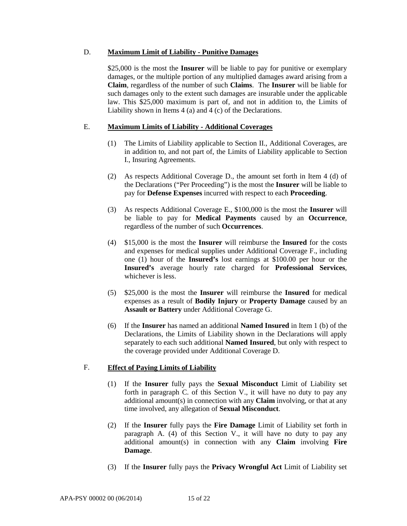#### D. **Maximum Limit of Liability - Punitive Damages**

\$25,000 is the most the **Insurer** will be liable to pay for punitive or exemplary damages, or the multiple portion of any multiplied damages award arising from a **Claim**, regardless of the number of such **Claims**. The **Insurer** will be liable for such damages only to the extent such damages are insurable under the applicable law. This \$25,000 maximum is part of, and not in addition to, the Limits of Liability shown in Items 4 (a) and 4 (c) of the Declarations.

### E. **Maximum Limits of Liability - Additional Coverages**

- (1) The Limits of Liability applicable to Section II., Additional Coverages, are in addition to, and not part of, the Limits of Liability applicable to Section I., Insuring Agreements.
- (2) As respects Additional Coverage D., the amount set forth in Item 4 (d) of the Declarations ("Per Proceeding") is the most the **Insurer** will be liable to pay for **Defense Expenses** incurred with respect to each **Proceeding**.
- (3) As respects Additional Coverage E., \$100,000 is the most the **Insurer** will be liable to pay for **Medical Payments** caused by an **Occurrence**, regardless of the number of such **Occurrences**.
- (4) \$15,000 is the most the **Insurer** will reimburse the **Insured** for the costs and expenses for medical supplies under Additional Coverage F., including one (1) hour of the **Insured's** lost earnings at \$100.00 per hour or the **Insured's** average hourly rate charged for **Professional Services**, whichever is less.
- (5) \$25,000 is the most the **Insurer** will reimburse the **Insured** for medical expenses as a result of **Bodily Injury** or **Property Damage** caused by an **Assault or Battery** under Additional Coverage G.
- (6) If the **Insurer** has named an additional **Named Insured** in Item 1 (b) of the Declarations, the Limits of Liability shown in the Declarations will apply separately to each such additional **Named Insured**, but only with respect to the coverage provided under Additional Coverage D.

### F. **Effect of Paying Limits of Liability**

- (1) If the **Insurer** fully pays the **Sexual Misconduct** Limit of Liability set forth in paragraph C. of this Section V., it will have no duty to pay any additional amount(s) in connection with any **Claim** involving, or that at any time involved, any allegation of **Sexual Misconduct**.
- (2) If the **Insurer** fully pays the **Fire Damage** Limit of Liability set forth in paragraph A. (4) of this Section V., it will have no duty to pay any additional amount(s) in connection with any **Claim** involving **Fire Damage**.
- (3) If the **Insurer** fully pays the **Privacy Wrongful Act** Limit of Liability set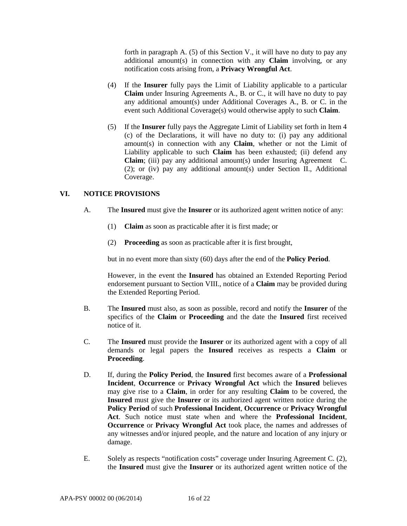forth in paragraph A. (5) of this Section V., it will have no duty to pay any additional amount(s) in connection with any **Claim** involving, or any notification costs arising from, a **Privacy Wrongful Act**.

- (4) If the **Insurer** fully pays the Limit of Liability applicable to a particular **Claim** under Insuring Agreements A., B. or C., it will have no duty to pay any additional amount(s) under Additional Coverages A., B. or C. in the event such Additional Coverage(s) would otherwise apply to such **Claim**.
- (5) If the **Insurer** fully pays the Aggregate Limit of Liability set forth in Item 4 (c) of the Declarations, it will have no duty to: (i) pay any additional amount(s) in connection with any **Claim**, whether or not the Limit of Liability applicable to such **Claim** has been exhausted; (ii) defend any **Claim**; (iii) pay any additional amount(s) under Insuring Agreement C. (2); or (iv) pay any additional amount(s) under Section II., Additional Coverage.

# **VI. NOTICE PROVISIONS**

- A. The **Insured** must give the **Insurer** or its authorized agent written notice of any:
	- (1) **Claim** as soon as practicable after it is first made; or
	- (2) **Proceeding** as soon as practicable after it is first brought,

but in no event more than sixty (60) days after the end of the **Policy Period**.

However, in the event the **Insured** has obtained an Extended Reporting Period endorsement pursuant to Section VIII., notice of a **Claim** may be provided during the Extended Reporting Period.

- B. The **Insured** must also, as soon as possible, record and notify the **Insurer** of the specifics of the **Claim** or **Proceeding** and the date the **Insured** first received notice of it.
- C. The **Insured** must provide the **Insurer** or its authorized agent with a copy of all demands or legal papers the **Insured** receives as respects a **Claim** or **Proceeding**.
- D. If, during the **Policy Period**, the **Insured** first becomes aware of a **Professional Incident**, **Occurrence** or **Privacy Wrongful Act** which the **Insured** believes may give rise to a **Claim**, in order for any resulting **Claim** to be covered, the **Insured** must give the **Insurer** or its authorized agent written notice during the **Policy Period** of such **Professional Incident**, **Occurrence** or **Privacy Wrongful Act**. Such notice must state when and where the **Professional Incident**, **Occurrence** or **Privacy Wrongful Act** took place, the names and addresses of any witnesses and/or injured people, and the nature and location of any injury or damage.
- E. Solely as respects "notification costs" coverage under Insuring Agreement C. (2), the **Insured** must give the **Insurer** or its authorized agent written notice of the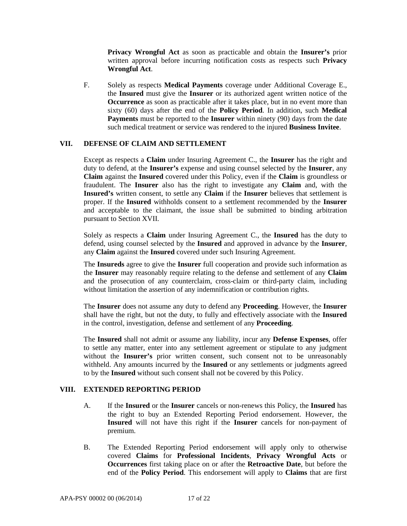**Privacy Wrongful Act** as soon as practicable and obtain the **Insurer's** prior written approval before incurring notification costs as respects such **Privacy Wrongful Act**.

F. Solely as respects **Medical Payments** coverage under Additional Coverage E., the **Insured** must give the **Insurer** or its authorized agent written notice of the **Occurrence** as soon as practicable after it takes place, but in no event more than sixty (60) days after the end of the **Policy Period**. In addition, such **Medical Payments** must be reported to the **Insurer** within ninety (90) days from the date such medical treatment or service was rendered to the injured **Business Invitee**.

### **VII. DEFENSE OF CLAIM AND SETTLEMENT**

Except as respects a **Claim** under Insuring Agreement C., the **Insurer** has the right and duty to defend, at the **Insurer's** expense and using counsel selected by the **Insurer**, any **Claim** against the **Insured** covered under this Policy, even if the **Claim** is groundless or fraudulent. The **Insurer** also has the right to investigate any **Claim** and, with the **Insured's** written consent, to settle any **Claim** if the **Insurer** believes that settlement is proper. If the **Insured** withholds consent to a settlement recommended by the **Insurer**  and acceptable to the claimant, the issue shall be submitted to binding arbitration pursuant to Section XVII.

Solely as respects a **Claim** under Insuring Agreement C., the **Insured** has the duty to defend, using counsel selected by the **Insured** and approved in advance by the **Insurer**, any **Claim** against the **Insured** covered under such Insuring Agreement.

The **Insureds** agree to give the **Insurer** full cooperation and provide such information as the **Insurer** may reasonably require relating to the defense and settlement of any **Claim** and the prosecution of any counterclaim, cross-claim or third-party claim, including without limitation the assertion of any indemnification or contribution rights.

The **Insurer** does not assume any duty to defend any **Proceeding**. However, the **Insurer** shall have the right, but not the duty, to fully and effectively associate with the **Insured** in the control, investigation, defense and settlement of any **Proceeding**.

The **Insured** shall not admit or assume any liability, incur any **Defense Expenses**, offer to settle any matter, enter into any settlement agreement or stipulate to any judgment without the **Insurer's** prior written consent, such consent not to be unreasonably withheld. Any amounts incurred by the **Insured** or any settlements or judgments agreed to by the **Insured** without such consent shall not be covered by this Policy.

### **VIII. EXTENDED REPORTING PERIOD**

- A. If the **Insured** or the **Insurer** cancels or non-renews this Policy, the **Insured** has the right to buy an Extended Reporting Period endorsement. However, the **Insured** will not have this right if the **Insurer** cancels for non-payment of premium.
- B. The Extended Reporting Period endorsement will apply only to otherwise covered **Claims** for **Professional Incidents**, **Privacy Wrongful Acts** or **Occurrences** first taking place on or after the **Retroactive Date**, but before the end of the **Policy Period**. This endorsement will apply to **Claims** that are first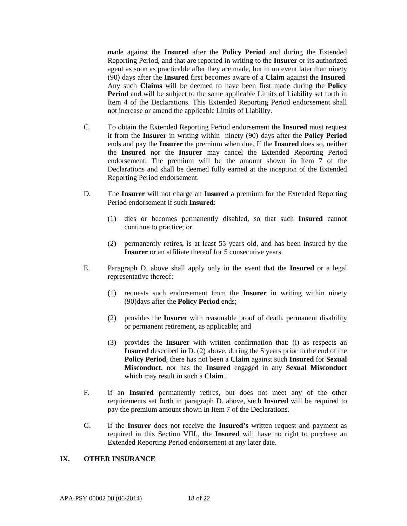made against the **Insured** after the **Policy Period** and during the Extended Reporting Period, and that are reported in writing to the **Insurer** or its authorized agent as soon as practicable after they are made, but in no event later than ninety (90) days after the **Insured** first becomes aware of a **Claim** against the **Insured**. Any such **Claims** will be deemed to have been first made during the **Policy Period** and will be subject to the same applicable Limits of Liability set forth in Item 4 of the Declarations. This Extended Reporting Period endorsement shall not increase or amend the applicable Limits of Liability.

- C. To obtain the Extended Reporting Period endorsement the **Insured** must request it from the **Insurer** in writing within ninety (90) days after the **Policy Period** ends and pay the **Insurer** the premium when due. If the **Insured** does so, neither the **Insured** nor the **Insurer** may cancel the Extended Reporting Period endorsement. The premium will be the amount shown in Item 7 of the Declarations and shall be deemed fully earned at the inception of the Extended Reporting Period endorsement.
- D. The **Insurer** will not charge an **Insured** a premium for the Extended Reporting Period endorsement if such **Insured**:
	- (1) dies or becomes permanently disabled, so that such **Insured** cannot continue to practice; or
	- (2) permanently retires, is at least 55 years old, and has been insured by the **Insurer** or an affiliate thereof for 5 consecutive years.
- E. Paragraph D. above shall apply only in the event that the **Insured** or a legal representative thereof:
	- (1) requests such endorsement from the **Insurer** in writing within ninety (90)days after the **Policy Period** ends;
	- (2) provides the **Insurer** with reasonable proof of death, permanent disability or permanent retirement, as applicable; and
	- (3) provides the **Insurer** with written confirmation that: (i) as respects an **Insured** described in D. (2) above, during the 5 years prior to the end of the **Policy Period**, there has not been a **Claim** against such **Insured** for **Sexual Misconduct**, nor has the **Insured** engaged in any **Sexual Misconduct**  which may result in such a **Claim**.
- F. If an **Insured** permanently retires, but does not meet any of the other requirements set forth in paragraph D. above, such **Insured** will be required to pay the premium amount shown in Item 7 of the Declarations.
- G. If the **Insurer** does not receive the **Insured's** written request and payment as required in this Section VIII., the **Insured** will have no right to purchase an Extended Reporting Period endorsement at any later date.

## **IX. OTHER INSURANCE**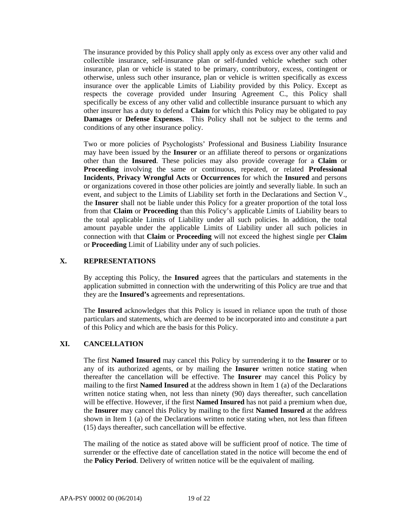The insurance provided by this Policy shall apply only as excess over any other valid and collectible insurance, self-insurance plan or self-funded vehicle whether such other insurance, plan or vehicle is stated to be primary, contributory, excess, contingent or otherwise, unless such other insurance, plan or vehicle is written specifically as excess insurance over the applicable Limits of Liability provided by this Policy. Except as respects the coverage provided under Insuring Agreement C., this Policy shall specifically be excess of any other valid and collectible insurance pursuant to which any other insurer has a duty to defend a **Claim** for which this Policy may be obligated to pay **Damages** or **Defense Expenses**. This Policy shall not be subject to the terms and conditions of any other insurance policy.

Two or more policies of Psychologists' Professional and Business Liability Insurance may have been issued by the **Insurer** or an affiliate thereof to persons or organizations other than the **Insured**. These policies may also provide coverage for a **Claim** or **Proceeding** involving the same or continuous, repeated, or related **Professional Incidents**, **Privacy Wrongful Acts** or **Occurrences** for which the **Insured** and persons or organizations covered in those other policies are jointly and severally liable. In such an event, and subject to the Limits of Liability set forth in the Declarations and Section V., the **Insurer** shall not be liable under this Policy for a greater proportion of the total loss from that **Claim** or **Proceeding** than this Policy's applicable Limits of Liability bears to the total applicable Limits of Liability under all such policies. In addition, the total amount payable under the applicable Limits of Liability under all such policies in connection with that **Claim** or **Proceeding** will not exceed the highest single per **Claim** or **Proceeding** Limit of Liability under any of such policies.

# **X. REPRESENTATIONS**

By accepting this Policy, the **Insured** agrees that the particulars and statements in the application submitted in connection with the underwriting of this Policy are true and that they are the **Insured's** agreements and representations.

The **Insured** acknowledges that this Policy is issued in reliance upon the truth of those particulars and statements, which are deemed to be incorporated into and constitute a part of this Policy and which are the basis for this Policy.

## **XI. CANCELLATION**

The first **Named Insured** may cancel this Policy by surrendering it to the **Insurer** or to any of its authorized agents, or by mailing the **Insurer** written notice stating when thereafter the cancellation will be effective. The **Insurer** may cancel this Policy by mailing to the first **Named Insured** at the address shown in Item 1 (a) of the Declarations written notice stating when, not less than ninety (90) days thereafter, such cancellation will be effective. However, if the first **Named Insured** has not paid a premium when due, the **Insurer** may cancel this Policy by mailing to the first **Named Insured** at the address shown in Item 1 (a) of the Declarations written notice stating when, not less than fifteen (15) days thereafter, such cancellation will be effective.

The mailing of the notice as stated above will be sufficient proof of notice. The time of surrender or the effective date of cancellation stated in the notice will become the end of the **Policy Period**. Delivery of written notice will be the equivalent of mailing.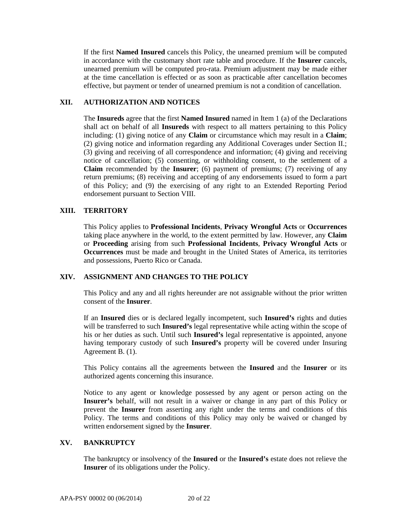If the first **Named Insured** cancels this Policy, the unearned premium will be computed in accordance with the customary short rate table and procedure. If the **Insurer** cancels, unearned premium will be computed pro-rata. Premium adjustment may be made either at the time cancellation is effected or as soon as practicable after cancellation becomes effective, but payment or tender of unearned premium is not a condition of cancellation.

# **XII. AUTHORIZATION AND NOTICES**

The **Insureds** agree that the first **Named Insured** named in Item 1 (a) of the Declarations shall act on behalf of all **Insureds** with respect to all matters pertaining to this Policy including: (1) giving notice of any **Claim** or circumstance which may result in a **Claim**; (2) giving notice and information regarding any Additional Coverages under Section II.; (3) giving and receiving of all correspondence and information; (4) giving and receiving notice of cancellation; (5) consenting, or withholding consent, to the settlement of a **Claim** recommended by the **Insurer**; (6) payment of premiums; (7) receiving of any return premiums; (8) receiving and accepting of any endorsements issued to form a part of this Policy; and (9) the exercising of any right to an Extended Reporting Period endorsement pursuant to Section VIII.

# **XIII. TERRITORY**

This Policy applies to **Professional Incidents**, **Privacy Wrongful Acts** or **Occurrences** taking place anywhere in the world, to the extent permitted by law. However, any **Claim**  or **Proceeding** arising from such **Professional Incidents**, **Privacy Wrongful Acts** or **Occurrences** must be made and brought in the United States of America, its territories and possessions, Puerto Rico or Canada.

### **XIV. ASSIGNMENT AND CHANGES TO THE POLICY**

This Policy and any and all rights hereunder are not assignable without the prior written consent of the **Insurer**.

If an **Insured** dies or is declared legally incompetent, such **Insured's** rights and duties will be transferred to such **Insured's** legal representative while acting within the scope of his or her duties as such. Until such **Insured's** legal representative is appointed, anyone having temporary custody of such **Insured's** property will be covered under Insuring Agreement B. (1).

This Policy contains all the agreements between the **Insured** and the **Insurer** or its authorized agents concerning this insurance.

Notice to any agent or knowledge possessed by any agent or person acting on the **Insurer's** behalf, will not result in a waiver or change in any part of this Policy or prevent the **Insurer** from asserting any right under the terms and conditions of this Policy. The terms and conditions of this Policy may only be waived or changed by written endorsement signed by the **Insurer**.

## **XV. BANKRUPTCY**

The bankruptcy or insolvency of the **Insured** or the **Insured's** estate does not relieve the **Insurer** of its obligations under the Policy.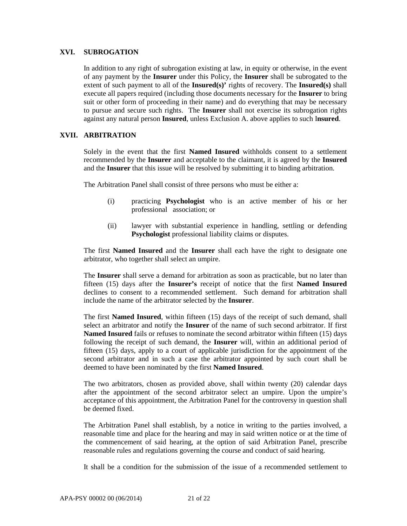#### **XVI. SUBROGATION**

In addition to any right of subrogation existing at law, in equity or otherwise, in the event of any payment by the **Insurer** under this Policy, the **Insurer** shall be subrogated to the extent of such payment to all of the **Insured(s)'** rights of recovery. The **Insured(s)** shall execute all papers required (including those documents necessary for the **Insurer** to bring suit or other form of proceeding in their name) and do everything that may be necessary to pursue and secure such rights. The **Insurer** shall not exercise its subrogation rights against any natural person **Insured**, unless Exclusion A. above applies to such I**nsured**.

### **XVII. ARBITRATION**

Solely in the event that the first **Named Insured** withholds consent to a settlement recommended by the **Insurer** and acceptable to the claimant, it is agreed by the **Insured** and the **Insurer** that this issue will be resolved by submitting it to binding arbitration.

The Arbitration Panel shall consist of three persons who must be either a:

- (i) practicing **Psychologist** who is an active member of his or her professional association; or
- (ii) lawyer with substantial experience in handling, settling or defending **Psychologist** professional liability claims or disputes.

The first **Named Insured** and the **Insurer** shall each have the right to designate one arbitrator, who together shall select an umpire.

The **Insurer** shall serve a demand for arbitration as soon as practicable, but no later than fifteen (15) days after the **Insurer's** receipt of notice that the first **Named Insured** declines to consent to a recommended settlement. Such demand for arbitration shall include the name of the arbitrator selected by the **Insurer**.

The first **Named Insured**, within fifteen (15) days of the receipt of such demand, shall select an arbitrator and notify the **Insurer** of the name of such second arbitrator. If first **Named Insured** fails or refuses to nominate the second arbitrator within fifteen (15) days following the receipt of such demand, the **Insurer** will, within an additional period of fifteen (15) days, apply to a court of applicable jurisdiction for the appointment of the second arbitrator and in such a case the arbitrator appointed by such court shall be deemed to have been nominated by the first **Named Insured**.

The two arbitrators, chosen as provided above, shall within twenty (20) calendar days after the appointment of the second arbitrator select an umpire. Upon the umpire's acceptance of this appointment, the Arbitration Panel for the controversy in question shall be deemed fixed.

The Arbitration Panel shall establish, by a notice in writing to the parties involved, a reasonable time and place for the hearing and may in said written notice or at the time of the commencement of said hearing, at the option of said Arbitration Panel, prescribe reasonable rules and regulations governing the course and conduct of said hearing.

It shall be a condition for the submission of the issue of a recommended settlement to